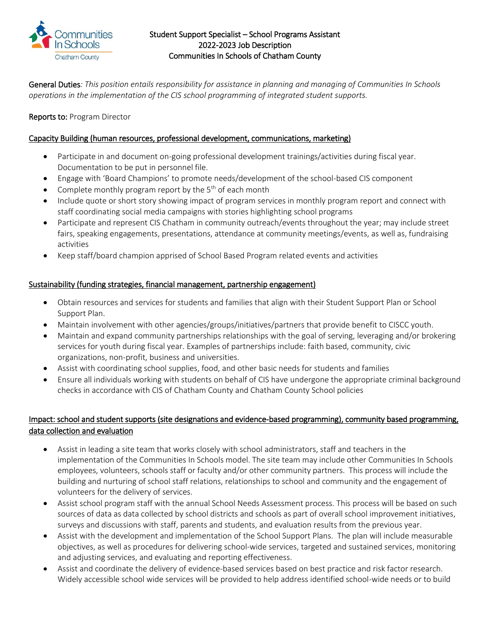

### Student Support Specialist – School Programs Assistant 2022-2023 Job Description Communities In Schools of Chatham County

General Duties*: This position entails responsibility for assistance in planning and managing of Communities In Schools operations in the implementation of the CIS school programming of integrated student supports.* 

# Reports to: Program Director

### Capacity Building (human resources, professional development, communications, marketing)

- Participate in and document on-going professional development trainings/activities during fiscal year. Documentation to be put in personnel file.
- Engage with 'Board Champions' to promote needs/development of the school-based CIS component
- Complete monthly program report by the  $5<sup>th</sup>$  of each month
- Include quote or short story showing impact of program services in monthly program report and connect with staff coordinating social media campaigns with stories highlighting school programs
- Participate and represent CIS Chatham in community outreach/events throughout the year; may include street fairs, speaking engagements, presentations, attendance at community meetings/events, as well as, fundraising activities
- Keep staff/board champion apprised of School Based Program related events and activities

## Sustainability (funding strategies, financial management, partnership engagement)

- Obtain resources and services for students and families that align with their Student Support Plan or School Support Plan.
- Maintain involvement with other agencies/groups/initiatives/partners that provide benefit to CISCC youth.
- Maintain and expand community partnerships relationships with the goal of serving, leveraging and/or brokering services for youth during fiscal year. Examples of partnerships include: faith based, community, civic organizations, non-profit, business and universities.
- Assist with coordinating school supplies, food, and other basic needs for students and families
- Ensure all individuals working with students on behalf of CIS have undergone the appropriate criminal background checks in accordance with CIS of Chatham County and Chatham County School policies

# Impact: school and student supports (site designations and evidence-based programming), community based programming, data collection and evaluation

- Assist in leading a site team that works closely with school administrators, staff and teachers in the implementation of the Communities In Schools model. The site team may include other Communities In Schools employees, volunteers, schools staff or faculty and/or other community partners. This process will include the building and nurturing of school staff relations, relationships to school and community and the engagement of volunteers for the delivery of services.
- Assist school program staff with the annual School Needs Assessment process. This process will be based on such sources of data as data collected by school districts and schools as part of overall school improvement initiatives, surveys and discussions with staff, parents and students, and evaluation results from the previous year.
- Assist with the development and implementation of the School Support Plans. The plan will include measurable objectives, as well as procedures for delivering school-wide services, targeted and sustained services, monitoring and adjusting services, and evaluating and reporting effectiveness.
- Assist and coordinate the delivery of evidence-based services based on best practice and risk factor research. Widely accessible school wide services will be provided to help address identified school-wide needs or to build